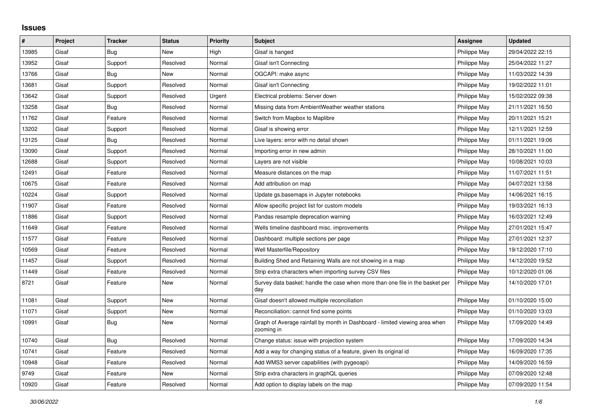## **Issues**

| #     | Project | <b>Tracker</b> | <b>Status</b> | Priority | <b>Subject</b>                                                                            | <b>Assignee</b> | <b>Updated</b>   |
|-------|---------|----------------|---------------|----------|-------------------------------------------------------------------------------------------|-----------------|------------------|
| 13985 | Gisaf   | Bug            | <b>New</b>    | High     | Gisaf is hanged                                                                           | Philippe May    | 29/04/2022 22:15 |
| 13952 | Gisaf   | Support        | Resolved      | Normal   | Gisaf isn't Connecting                                                                    | Philippe May    | 25/04/2022 11:27 |
| 13766 | Gisaf   | Bug            | New           | Normal   | OGCAPI: make async                                                                        | Philippe May    | 11/03/2022 14:39 |
| 13681 | Gisaf   | Support        | Resolved      | Normal   | Gisaf isn't Connecting                                                                    | Philippe May    | 19/02/2022 11:01 |
| 13642 | Gisaf   | Support        | Resolved      | Urgent   | Electrical problems: Server down                                                          | Philippe May    | 15/02/2022 09:38 |
| 13258 | Gisaf   | Bug            | Resolved      | Normal   | Missing data from AmbientWeather weather stations                                         | Philippe May    | 21/11/2021 16:50 |
| 11762 | Gisaf   | Feature        | Resolved      | Normal   | Switch from Mapbox to Maplibre                                                            | Philippe May    | 20/11/2021 15:21 |
| 13202 | Gisaf   | Support        | Resolved      | Normal   | Gisaf is showing error                                                                    | Philippe May    | 12/11/2021 12:59 |
| 13125 | Gisaf   | Bug            | Resolved      | Normal   | Live layers: error with no detail shown                                                   | Philippe May    | 01/11/2021 19:06 |
| 13090 | Gisaf   | Support        | Resolved      | Normal   | Importing error in new admin                                                              | Philippe May    | 28/10/2021 11:00 |
| 12688 | Gisaf   | Support        | Resolved      | Normal   | Layers are not visible                                                                    | Philippe May    | 10/08/2021 10:03 |
| 12491 | Gisaf   | Feature        | Resolved      | Normal   | Measure distances on the map                                                              | Philippe May    | 11/07/2021 11:51 |
| 10675 | Gisaf   | Feature        | Resolved      | Normal   | Add attribution on map                                                                    | Philippe May    | 04/07/2021 13:58 |
| 10224 | Gisaf   | Support        | Resolved      | Normal   | Update gs.basemaps in Jupyter notebooks                                                   | Philippe May    | 14/06/2021 16:15 |
| 11907 | Gisaf   | Feature        | Resolved      | Normal   | Allow specific project list for custom models                                             | Philippe May    | 19/03/2021 16:13 |
| 11886 | Gisaf   | Support        | Resolved      | Normal   | Pandas resample deprecation warning                                                       | Philippe May    | 16/03/2021 12:49 |
| 11649 | Gisaf   | Feature        | Resolved      | Normal   | Wells timeline dashboard misc. improvements                                               | Philippe May    | 27/01/2021 15:47 |
| 11577 | Gisaf   | Feature        | Resolved      | Normal   | Dashboard: multiple sections per page                                                     | Philippe May    | 27/01/2021 12:37 |
| 10569 | Gisaf   | Feature        | Resolved      | Normal   | Well Masterfile/Repository                                                                | Philippe May    | 19/12/2020 17:10 |
| 11457 | Gisaf   | Support        | Resolved      | Normal   | Building Shed and Retaining Walls are not showing in a map                                | Philippe May    | 14/12/2020 19:52 |
| 11449 | Gisaf   | Feature        | Resolved      | Normal   | Strip extra characters when importing survey CSV files                                    | Philippe May    | 10/12/2020 01:06 |
| 8721  | Gisaf   | Feature        | New           | Normal   | Survey data basket: handle the case when more than one file in the basket per<br>day      | Philippe May    | 14/10/2020 17:01 |
| 11081 | Gisaf   | Support        | New           | Normal   | Gisaf doesn't allowed multiple reconciliation                                             | Philippe May    | 01/10/2020 15:00 |
| 11071 | Gisaf   | Support        | <b>New</b>    | Normal   | Reconciliation: cannot find some points                                                   | Philippe May    | 01/10/2020 13:03 |
| 10991 | Gisaf   | <b>Bug</b>     | New           | Normal   | Graph of Average rainfall by month in Dashboard - limited viewing area when<br>zooming in | Philippe May    | 17/09/2020 14:49 |
| 10740 | Gisaf   | Bug            | Resolved      | Normal   | Change status: issue with projection system                                               | Philippe May    | 17/09/2020 14:34 |
| 10741 | Gisaf   | Feature        | Resolved      | Normal   | Add a way for changing status of a feature, given its original id                         | Philippe May    | 16/09/2020 17:35 |
| 10948 | Gisaf   | Feature        | Resolved      | Normal   | Add WMS3 server capabilities (with pygeoapi)                                              | Philippe May    | 14/09/2020 16:59 |
| 9749  | Gisaf   | Feature        | <b>New</b>    | Normal   | Strip extra characters in graphQL queries                                                 | Philippe May    | 07/09/2020 12:48 |
| 10920 | Gisaf   | Feature        | Resolved      | Normal   | Add option to display labels on the map                                                   | Philippe May    | 07/09/2020 11:54 |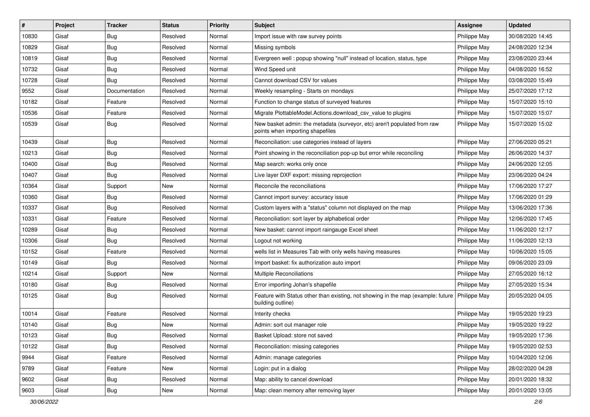| $\#$  | Project | <b>Tracker</b> | <b>Status</b> | <b>Priority</b> | <b>Subject</b>                                                                                               | <b>Assignee</b> | <b>Updated</b>   |
|-------|---------|----------------|---------------|-----------------|--------------------------------------------------------------------------------------------------------------|-----------------|------------------|
| 10830 | Gisaf   | <b>Bug</b>     | Resolved      | Normal          | Import issue with raw survey points                                                                          | Philippe May    | 30/08/2020 14:45 |
| 10829 | Gisaf   | Bug            | Resolved      | Normal          | Missing symbols                                                                                              | Philippe May    | 24/08/2020 12:34 |
| 10819 | Gisaf   | Bug            | Resolved      | Normal          | Evergreen well: popup showing "null" instead of location, status, type                                       | Philippe May    | 23/08/2020 23:44 |
| 10732 | Gisaf   | <b>Bug</b>     | Resolved      | Normal          | Wind Speed unit                                                                                              | Philippe May    | 04/08/2020 16:52 |
| 10728 | Gisaf   | Bug            | Resolved      | Normal          | Cannot download CSV for values                                                                               | Philippe May    | 03/08/2020 15:49 |
| 9552  | Gisaf   | Documentation  | Resolved      | Normal          | Weekly resampling - Starts on mondays                                                                        | Philippe May    | 25/07/2020 17:12 |
| 10182 | Gisaf   | Feature        | Resolved      | Normal          | Function to change status of surveyed features                                                               | Philippe May    | 15/07/2020 15:10 |
| 10536 | Gisaf   | Feature        | Resolved      | Normal          | Migrate PlottableModel.Actions.download_csv_value to plugins                                                 | Philippe May    | 15/07/2020 15:07 |
| 10539 | Gisaf   | Bug            | Resolved      | Normal          | New basket admin: the metadata (surveyor, etc) aren't populated from raw<br>points when importing shapefiles | Philippe May    | 15/07/2020 15:02 |
| 10439 | Gisaf   | Bug            | Resolved      | Normal          | Reconciliation: use categories instead of layers                                                             | Philippe May    | 27/06/2020 05:21 |
| 10213 | Gisaf   | <b>Bug</b>     | Resolved      | Normal          | Point showing in the reconciliation pop-up but error while reconciling                                       | Philippe May    | 26/06/2020 14:37 |
| 10400 | Gisaf   | Bug            | Resolved      | Normal          | Map search: works only once                                                                                  | Philippe May    | 24/06/2020 12:05 |
| 10407 | Gisaf   | Bug            | Resolved      | Normal          | Live layer DXF export: missing reprojection                                                                  | Philippe May    | 23/06/2020 04:24 |
| 10364 | Gisaf   | Support        | New           | Normal          | Reconcile the reconciliations                                                                                | Philippe May    | 17/06/2020 17:27 |
| 10360 | Gisaf   | Bug            | Resolved      | Normal          | Cannot import survey: accuracy issue                                                                         | Philippe May    | 17/06/2020 01:29 |
| 10337 | Gisaf   | <b>Bug</b>     | Resolved      | Normal          | Custom layers with a "status" column not displayed on the map                                                | Philippe May    | 13/06/2020 17:36 |
| 10331 | Gisaf   | Feature        | Resolved      | Normal          | Reconciliation: sort layer by alphabetical order                                                             | Philippe May    | 12/06/2020 17:45 |
| 10289 | Gisaf   | Bug            | Resolved      | Normal          | New basket: cannot import raingauge Excel sheet                                                              | Philippe May    | 11/06/2020 12:17 |
| 10306 | Gisaf   | Bug            | Resolved      | Normal          | Logout not working                                                                                           | Philippe May    | 11/06/2020 12:13 |
| 10152 | Gisaf   | Feature        | Resolved      | Normal          | wells list in Measures Tab with only wells having measures                                                   | Philippe May    | 10/06/2020 15:05 |
| 10149 | Gisaf   | Bug            | Resolved      | Normal          | Import basket: fix authorization auto import                                                                 | Philippe May    | 09/06/2020 23:09 |
| 10214 | Gisaf   | Support        | New           | Normal          | Multiple Reconciliations                                                                                     | Philippe May    | 27/05/2020 16:12 |
| 10180 | Gisaf   | Bug            | Resolved      | Normal          | Error importing Johan's shapefile                                                                            | Philippe May    | 27/05/2020 15:34 |
| 10125 | Gisaf   | Bug            | Resolved      | Normal          | Feature with Status other than existing, not showing in the map (example: future<br>building outline)        | Philippe May    | 20/05/2020 04:05 |
| 10014 | Gisaf   | Feature        | Resolved      | Normal          | Interity checks                                                                                              | Philippe May    | 19/05/2020 19:23 |
| 10140 | Gisaf   | <b>Bug</b>     | <b>New</b>    | Normal          | Admin: sort out manager role                                                                                 | Philippe May    | 19/05/2020 19:22 |
| 10123 | Gisaf   | <b>Bug</b>     | Resolved      | Normal          | Basket Upload: store not saved                                                                               | Philippe May    | 19/05/2020 17:36 |
| 10122 | Gisaf   | <b>Bug</b>     | Resolved      | Normal          | Reconciliation: missing categories                                                                           | Philippe May    | 19/05/2020 02:53 |
| 9944  | Gisaf   | Feature        | Resolved      | Normal          | Admin: manage categories                                                                                     | Philippe May    | 10/04/2020 12:06 |
| 9789  | Gisaf   | Feature        | New           | Normal          | Login: put in a dialog                                                                                       | Philippe May    | 28/02/2020 04:28 |
| 9602  | Gisaf   | <b>Bug</b>     | Resolved      | Normal          | Map: ability to cancel download                                                                              | Philippe May    | 20/01/2020 18:32 |
| 9603  | Gisaf   | <b>Bug</b>     | New           | Normal          | Map: clean memory after removing layer                                                                       | Philippe May    | 20/01/2020 13:05 |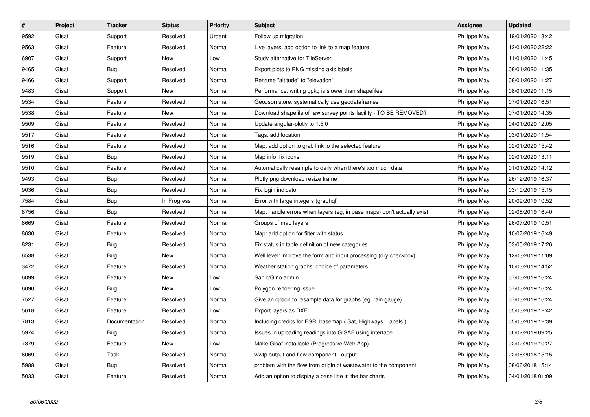| $\sharp$ | <b>Project</b> | <b>Tracker</b> | <b>Status</b> | <b>Priority</b> | <b>Subject</b>                                                         | <b>Assignee</b> | <b>Updated</b>   |
|----------|----------------|----------------|---------------|-----------------|------------------------------------------------------------------------|-----------------|------------------|
| 9592     | Gisaf          | Support        | Resolved      | Urgent          | Follow up migration                                                    | Philippe May    | 19/01/2020 13:42 |
| 9563     | Gisaf          | Feature        | Resolved      | Normal          | Live layers: add option to link to a map feature                       | Philippe May    | 12/01/2020 22:22 |
| 6907     | Gisaf          | Support        | <b>New</b>    | Low             | Study alternative for TileServer                                       | Philippe May    | 11/01/2020 11:45 |
| 9465     | Gisaf          | Bug            | Resolved      | Normal          | Export plots to PNG missing axis labels                                | Philippe May    | 08/01/2020 11:35 |
| 9466     | Gisaf          | Support        | Resolved      | Normal          | Rename "altitude" to "elevation"                                       | Philippe May    | 08/01/2020 11:27 |
| 9483     | Gisaf          | Support        | New           | Normal          | Performance: writing gpkg is slower than shapefiles                    | Philippe May    | 08/01/2020 11:15 |
| 9534     | Gisaf          | Feature        | Resolved      | Normal          | GeoJson store: systematically use geodataframes                        | Philippe May    | 07/01/2020 16:51 |
| 9538     | Gisaf          | Feature        | <b>New</b>    | Normal          | Download shapefile of raw survey points facility - TO BE REMOVED?      | Philippe May    | 07/01/2020 14:35 |
| 9509     | Gisaf          | Feature        | Resolved      | Normal          | Update angular-plotly to 1.5.0                                         | Philippe May    | 04/01/2020 12:05 |
| 9517     | Gisaf          | Feature        | Resolved      | Normal          | Tags: add location                                                     | Philippe May    | 03/01/2020 11:54 |
| 9516     | Gisaf          | Feature        | Resolved      | Normal          | Map: add option to grab link to the selected feature                   | Philippe May    | 02/01/2020 15:42 |
| 9519     | Gisaf          | Bug            | Resolved      | Normal          | Map info: fix icons                                                    | Philippe May    | 02/01/2020 13:11 |
| 9510     | Gisaf          | Feature        | Resolved      | Normal          | Automatically resample to daily when there's too much data             | Philippe May    | 01/01/2020 14:12 |
| 9493     | Gisaf          | Bug            | Resolved      | Normal          | Plotly png download resize frame                                       | Philippe May    | 26/12/2019 16:37 |
| 9036     | Gisaf          | <b>Bug</b>     | Resolved      | Normal          | Fix login indicator                                                    | Philippe May    | 03/10/2019 15:15 |
| 7584     | Gisaf          | <b>Bug</b>     | In Progress   | Normal          | Error with large integers (graphgl)                                    | Philippe May    | 20/09/2019 10:52 |
| 8756     | Gisaf          | <b>Bug</b>     | Resolved      | Normal          | Map: handle errors when layers (eg, in base maps) don't actually exist | Philippe May    | 02/08/2019 16:40 |
| 8669     | Gisaf          | Feature        | Resolved      | Normal          | Groups of map layers                                                   | Philippe May    | 26/07/2019 10:51 |
| 8630     | Gisaf          | Feature        | Resolved      | Normal          | Map: add option for filter with status                                 | Philippe May    | 10/07/2019 16:49 |
| 8231     | Gisaf          | Bug            | Resolved      | Normal          | Fix status in table definition of new categories                       | Philippe May    | 03/05/2019 17:26 |
| 6538     | Gisaf          | <b>Bug</b>     | New           | Normal          | Well level: improve the form and input processing (dry checkbox)       | Philippe May    | 12/03/2019 11:09 |
| 3472     | Gisaf          | Feature        | Resolved      | Normal          | Weather station graphs: choice of parameters                           | Philippe May    | 10/03/2019 14:52 |
| 6099     | Gisaf          | Feature        | <b>New</b>    | Low             | Sanic/Gino admin                                                       | Philippe May    | 07/03/2019 16:24 |
| 6090     | Gisaf          | Bug            | New           | Low             | Polygon rendering issue                                                | Philippe May    | 07/03/2019 16:24 |
| 7527     | Gisaf          | Feature        | Resolved      | Normal          | Give an option to resample data for graphs (eg. rain gauge)            | Philippe May    | 07/03/2019 16:24 |
| 5618     | Gisaf          | Feature        | Resolved      | Low             | Export layers as DXF                                                   | Philippe May    | 05/03/2019 12:42 |
| 7813     | Gisaf          | Documentation  | Resolved      | Normal          | Including credits for ESRI basemap (Sat, Highways, Labels)             | Philippe May    | 05/03/2019 12:39 |
| 5974     | Gisaf          | Bug            | Resolved      | Normal          | Issues in uploading readings into GISAF using interface                | Philippe May    | 06/02/2019 09:25 |
| 7379     | Gisaf          | Feature        | New           | Low             | Make Gisaf installable (Progressive Web App)                           | Philippe May    | 02/02/2019 10:27 |
| 6069     | Gisaf          | Task           | Resolved      | Normal          | wwtp output and flow component - output                                | Philippe May    | 22/06/2018 15:15 |
| 5988     | Gisaf          | <b>Bug</b>     | Resolved      | Normal          | problem with the flow from origin of wastewater to the component       | Philippe May    | 08/06/2018 15:14 |
| 5033     | Gisaf          | Feature        | Resolved      | Normal          | Add an option to display a base line in the bar charts                 | Philippe May    | 04/01/2018 01:09 |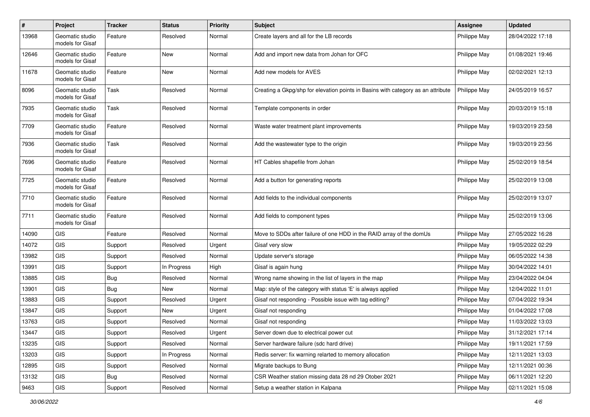| $\#$  | Project                             | <b>Tracker</b> | <b>Status</b> | <b>Priority</b> | <b>Subject</b>                                                                   | <b>Assignee</b> | <b>Updated</b>   |
|-------|-------------------------------------|----------------|---------------|-----------------|----------------------------------------------------------------------------------|-----------------|------------------|
| 13968 | Geomatic studio<br>models for Gisaf | Feature        | Resolved      | Normal          | Create layers and all for the LB records                                         | Philippe May    | 28/04/2022 17:18 |
| 12646 | Geomatic studio<br>models for Gisaf | Feature        | New           | Normal          | Add and import new data from Johan for OFC                                       | Philippe May    | 01/08/2021 19:46 |
| 11678 | Geomatic studio<br>models for Gisaf | Feature        | New           | Normal          | Add new models for AVES                                                          | Philippe May    | 02/02/2021 12:13 |
| 8096  | Geomatic studio<br>models for Gisaf | Task           | Resolved      | Normal          | Creating a Gkpg/shp for elevation points in Basins with category as an attribute | Philippe May    | 24/05/2019 16:57 |
| 7935  | Geomatic studio<br>models for Gisaf | Task           | Resolved      | Normal          | Template components in order                                                     | Philippe May    | 20/03/2019 15:18 |
| 7709  | Geomatic studio<br>models for Gisaf | Feature        | Resolved      | Normal          | Waste water treatment plant improvements                                         | Philippe May    | 19/03/2019 23:58 |
| 7936  | Geomatic studio<br>models for Gisaf | Task           | Resolved      | Normal          | Add the wastewater type to the origin                                            | Philippe May    | 19/03/2019 23:56 |
| 7696  | Geomatic studio<br>models for Gisaf | Feature        | Resolved      | Normal          | HT Cables shapefile from Johan                                                   | Philippe May    | 25/02/2019 18:54 |
| 7725  | Geomatic studio<br>models for Gisaf | Feature        | Resolved      | Normal          | Add a button for generating reports                                              | Philippe May    | 25/02/2019 13:08 |
| 7710  | Geomatic studio<br>models for Gisaf | Feature        | Resolved      | Normal          | Add fields to the individual components                                          | Philippe May    | 25/02/2019 13:07 |
| 7711  | Geomatic studio<br>models for Gisaf | Feature        | Resolved      | Normal          | Add fields to component types                                                    | Philippe May    | 25/02/2019 13:06 |
| 14090 | <b>GIS</b>                          | Feature        | Resolved      | Normal          | Move to SDDs after failure of one HDD in the RAID array of the domUs             | Philippe May    | 27/05/2022 16:28 |
| 14072 | <b>GIS</b>                          | Support        | Resolved      | Urgent          | Gisaf very slow                                                                  | Philippe May    | 19/05/2022 02:29 |
| 13982 | <b>GIS</b>                          | Support        | Resolved      | Normal          | Update server's storage                                                          | Philippe May    | 06/05/2022 14:38 |
| 13991 | <b>GIS</b>                          | Support        | In Progress   | High            | Gisaf is again hung                                                              | Philippe May    | 30/04/2022 14:01 |
| 13885 | <b>GIS</b>                          | <b>Bug</b>     | Resolved      | Normal          | Wrong name showing in the list of layers in the map                              | Philippe May    | 23/04/2022 04:04 |
| 13901 | <b>GIS</b>                          | <b>Bug</b>     | New           | Normal          | Map: style of the category with status 'E' is always applied                     | Philippe May    | 12/04/2022 11:01 |
| 13883 | <b>GIS</b>                          | Support        | Resolved      | Urgent          | Gisaf not responding - Possible issue with tag editing?                          | Philippe May    | 07/04/2022 19:34 |
| 13847 | <b>GIS</b>                          | Support        | New           | Urgent          | Gisaf not responding                                                             | Philippe May    | 01/04/2022 17:08 |
| 13763 | GIS                                 | Support        | Resolved      | Normal          | Gisaf not responding                                                             | Philippe May    | 11/03/2022 13:03 |
| 13447 | GIS                                 | Support        | Resolved      | Urgent          | Server down due to electrical power cut                                          | Philippe May    | 31/12/2021 17:14 |
| 13235 | GIS                                 | Support        | Resolved      | Normal          | Server hardware failure (sdc hard drive)                                         | Philippe May    | 19/11/2021 17:59 |
| 13203 | <b>GIS</b>                          | Support        | In Progress   | Normal          | Redis server: fix warning relarted to memory allocation                          | Philippe May    | 12/11/2021 13:03 |
| 12895 | <b>GIS</b>                          | Support        | Resolved      | Normal          | Migrate backups to Bung                                                          | Philippe May    | 12/11/2021 00:36 |
| 13132 | GIS                                 | Bug            | Resolved      | Normal          | CSR Weather station missing data 28 nd 29 Otober 2021                            | Philippe May    | 06/11/2021 12:20 |
| 9463  | GIS                                 | Support        | Resolved      | Normal          | Setup a weather station in Kalpana                                               | Philippe May    | 02/11/2021 15:08 |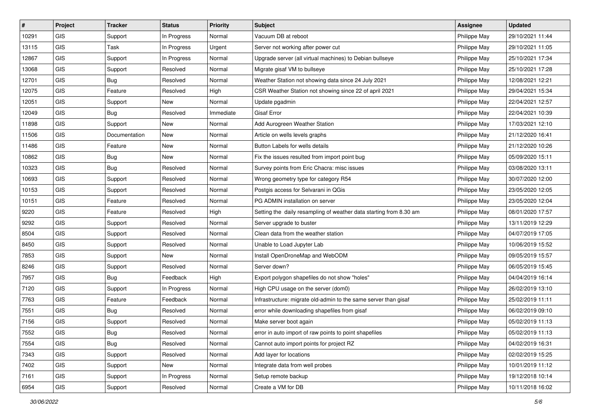| #     | Project    | <b>Tracker</b> | <b>Status</b> | Priority  | <b>Subject</b>                                                     | <b>Assignee</b> | <b>Updated</b>   |
|-------|------------|----------------|---------------|-----------|--------------------------------------------------------------------|-----------------|------------------|
| 10291 | GIS        | Support        | In Progress   | Normal    | Vacuum DB at reboot                                                | Philippe May    | 29/10/2021 11:44 |
| 13115 | GIS        | Task           | In Progress   | Urgent    | Server not working after power cut                                 | Philippe May    | 29/10/2021 11:05 |
| 12867 | GIS        | Support        | In Progress   | Normal    | Upgrade server (all virtual machines) to Debian bullseye           | Philippe May    | 25/10/2021 17:34 |
| 13068 | GIS        | Support        | Resolved      | Normal    | Migrate gisaf VM to bullseye                                       | Philippe May    | 25/10/2021 17:28 |
| 12701 | GIS        | Bug            | Resolved      | Normal    | Weather Station not showing data since 24 July 2021                | Philippe May    | 12/08/2021 12:21 |
| 12075 | <b>GIS</b> | Feature        | Resolved      | High      | CSR Weather Station not showing since 22 of april 2021             | Philippe May    | 29/04/2021 15:34 |
| 12051 | GIS        | Support        | New           | Normal    | Update pgadmin                                                     | Philippe May    | 22/04/2021 12:57 |
| 12049 | GIS        | Bug            | Resolved      | Immediate | <b>Gisaf Error</b>                                                 | Philippe May    | 22/04/2021 10:39 |
| 11898 | GIS        | Support        | New           | Normal    | Add Aurogreen Weather Station                                      | Philippe May    | 17/03/2021 12:10 |
| 11506 | GIS        | Documentation  | New           | Normal    | Article on wells levels graphs                                     | Philippe May    | 21/12/2020 16:41 |
| 11486 | <b>GIS</b> | Feature        | New           | Normal    | Button Labels for wells details                                    | Philippe May    | 21/12/2020 10:26 |
| 10862 | GIS        | <b>Bug</b>     | New           | Normal    | Fix the issues resulted from import point bug                      | Philippe May    | 05/09/2020 15:11 |
| 10323 | <b>GIS</b> | Bug            | Resolved      | Normal    | Survey points from Eric Chacra: misc issues                        | Philippe May    | 03/08/2020 13:11 |
| 10693 | GIS        | Support        | Resolved      | Normal    | Wrong geometry type for category R54                               | Philippe May    | 30/07/2020 12:00 |
| 10153 | GIS        | Support        | Resolved      | Normal    | Postgis access for Selvarani in QGis                               | Philippe May    | 23/05/2020 12:05 |
| 10151 | GIS        | Feature        | Resolved      | Normal    | PG ADMIN installation on server                                    | Philippe May    | 23/05/2020 12:04 |
| 9220  | GIS        | Feature        | Resolved      | High      | Setting the daily resampling of weather data starting from 8.30 am | Philippe May    | 08/01/2020 17:57 |
| 9292  | GIS        | Support        | Resolved      | Normal    | Server upgrade to buster                                           | Philippe May    | 13/11/2019 12:29 |
| 8504  | GIS        | Support        | Resolved      | Normal    | Clean data from the weather station                                | Philippe May    | 04/07/2019 17:05 |
| 8450  | GIS        | Support        | Resolved      | Normal    | Unable to Load Jupyter Lab                                         | Philippe May    | 10/06/2019 15:52 |
| 7853  | GIS        | Support        | New           | Normal    | Install OpenDroneMap and WebODM                                    | Philippe May    | 09/05/2019 15:57 |
| 8246  | GIS        | Support        | Resolved      | Normal    | Server down?                                                       | Philippe May    | 06/05/2019 15:45 |
| 7957  | GIS        | Bug            | Feedback      | High      | Export polygon shapefiles do not show "holes"                      | Philippe May    | 04/04/2019 16:14 |
| 7120  | <b>GIS</b> | Support        | In Progress   | Normal    | High CPU usage on the server (dom0)                                | Philippe May    | 26/02/2019 13:10 |
| 7763  | GIS        | Feature        | Feedback      | Normal    | Infrastructure: migrate old-admin to the same server than gisaf    | Philippe May    | 25/02/2019 11:11 |
| 7551  | <b>GIS</b> | <b>Bug</b>     | Resolved      | Normal    | error while downloading shapefiles from gisaf                      | Philippe May    | 06/02/2019 09:10 |
| 7156  | GIS        | Support        | Resolved      | Normal    | Make server boot again                                             | Philippe May    | 05/02/2019 11:13 |
| 7552  | GIS        | <b>Bug</b>     | Resolved      | Normal    | error in auto import of raw points to point shapefiles             | Philippe May    | 05/02/2019 11:13 |
| 7554  | <b>GIS</b> | Bug            | Resolved      | Normal    | Cannot auto import points for project RZ                           | Philippe May    | 04/02/2019 16:31 |
| 7343  | GIS        | Support        | Resolved      | Normal    | Add layer for locations                                            | Philippe May    | 02/02/2019 15:25 |
| 7402  | GIS        | Support        | New           | Normal    | Integrate data from well probes                                    | Philippe May    | 10/01/2019 11:12 |
| 7161  | GIS        | Support        | In Progress   | Normal    | Setup remote backup                                                | Philippe May    | 19/12/2018 10:14 |
| 6954  | GIS        | Support        | Resolved      | Normal    | Create a VM for DB                                                 | Philippe May    | 10/11/2018 16:02 |